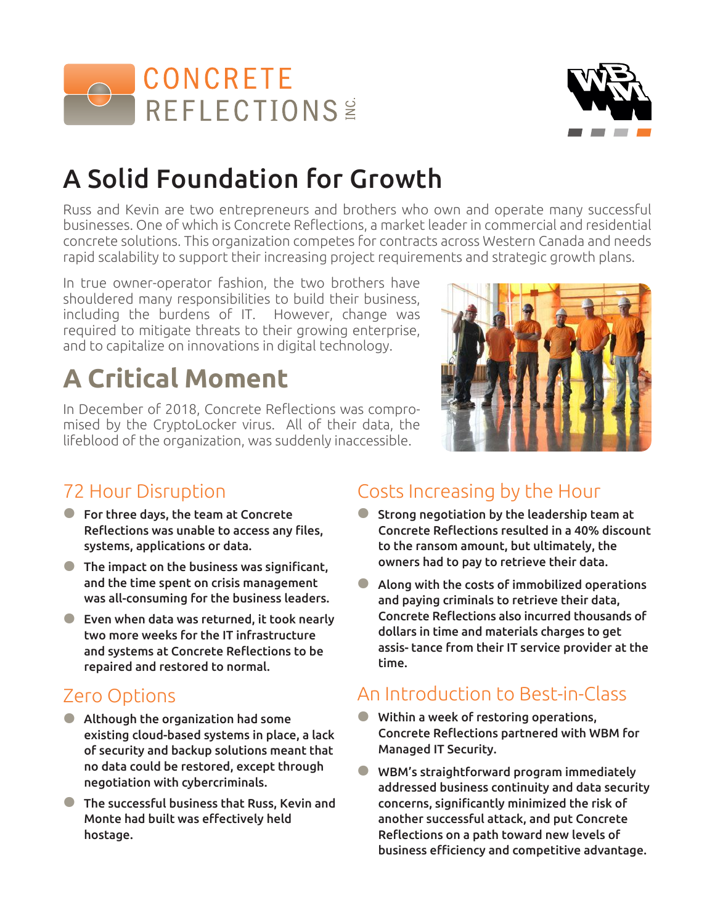



# A Solid Foundation for Growth

Russ and Kevin are two entrepreneurs and brothers who own and operate many successful businesses. One of which is Concrete Reflections, a market leader in commercial and residential concrete solutions. This organization competes for contracts across Western Canada and needs rapid scalability to support their increasing project requirements and strategic growth plans.

In true owner-operator fashion, the two brothers have shouldered many responsibilities to build their business, including the burdens of IT. However, change was required to mitigate threats to their growing enterprise, and to capitalize on innovations in digital technology.

# **A Critical Moment**

In December of 2018, Concrete Reflections was compromised by the CryptoLocker virus. All of their data, the lifeblood of the organization, was suddenly inaccessible.



### 72 Hour Disruption

- **•** For three days, the team at Concrete Reflections was unable to access any files, systems, applications or data.
- **•** The impact on the business was significant, and the time spent on crisis management was all-consuming for the business leaders.
- **•** Even when data was returned, it took nearly two more weeks for the IT infrastructure and systems at Concrete Reflections to be repaired and restored to normal.

### Zero Options

- **•** Although the organization had some existing cloud-based systems in place, a lack of security and backup solutions meant that no data could be restored, except through negotiation with cybercriminals.
- **•** The successful business that Russ, Kevin and Monte had built was effectively held hostage.

### Costs Increasing by the Hour

- **•** Strong negotiation by the leadership team at Concrete Reflections resulted in a 40% discount to the ransom amount, but ultimately, the owners had to pay to retrieve their data.
- **•** Along with the costs of immobilized operations and paying criminals to retrieve their data, Concrete Reflections also incurred thousands of dollars in time and materials charges to get assis- tance from their IT service provider at the time.

### An Introduction to Best-in-Class

- **•** Within a week of restoring operations, Concrete Reflections partnered with WBM for Managed IT Security.
- **•** WBM's straightforward program immediately addressed business continuity and data security concerns, significantly minimized the risk of another successful attack, and put Concrete Reflections on a path toward new levels of business efficiency and competitive advantage.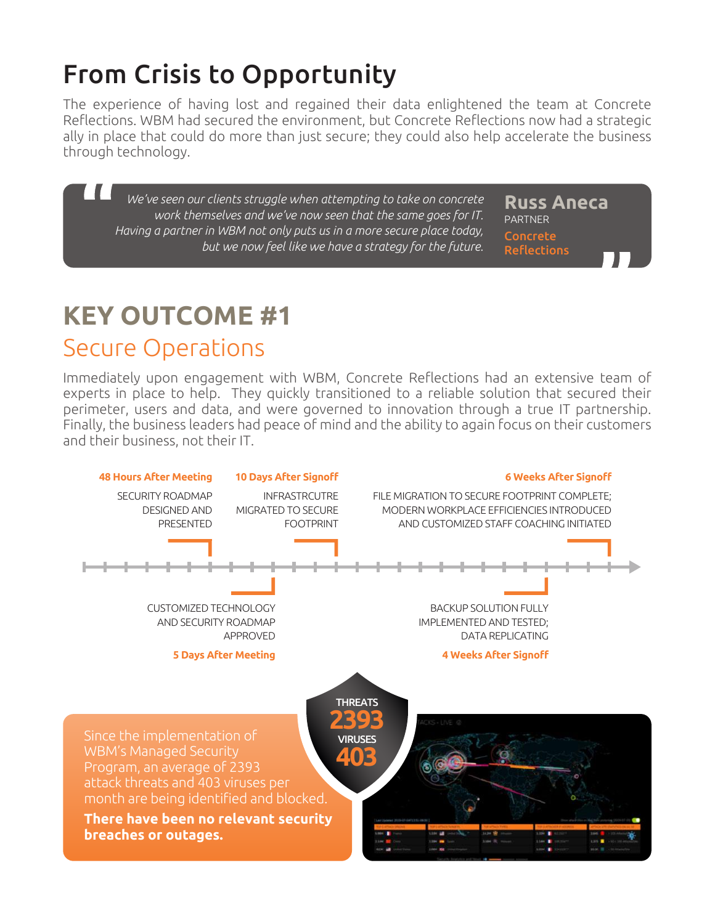# From Crisis to Opportunity

The experience of having lost and regained their data enlightened the team at Concrete Reflections. WBM had secured the environment, but Concrete Reflections now had a strategic ally in place that could do more than just secure; they could also help accelerate the business through technology.

*We've seen our clients struggle when attempting to take on concrete work themselves and we've now seen that the same goes for IT. Having a partner in WBM not only puts us in a more secure place today, but we now feel like we have a strategy for the future.*

**Russ Aneca** PARTNER Concrete Reflections

# **KEY OUTCOME #1**

### Secure Operations

Immediately upon engagement with WBM, Concrete Reflections had an extensive team of experts in place to help. They quickly transitioned to a reliable solution that secured their perimeter, users and data, and were governed to innovation through a true IT partnership. Finally, the business leaders had peace of mind and the ability to again focus on their customers and their business, not their IT.

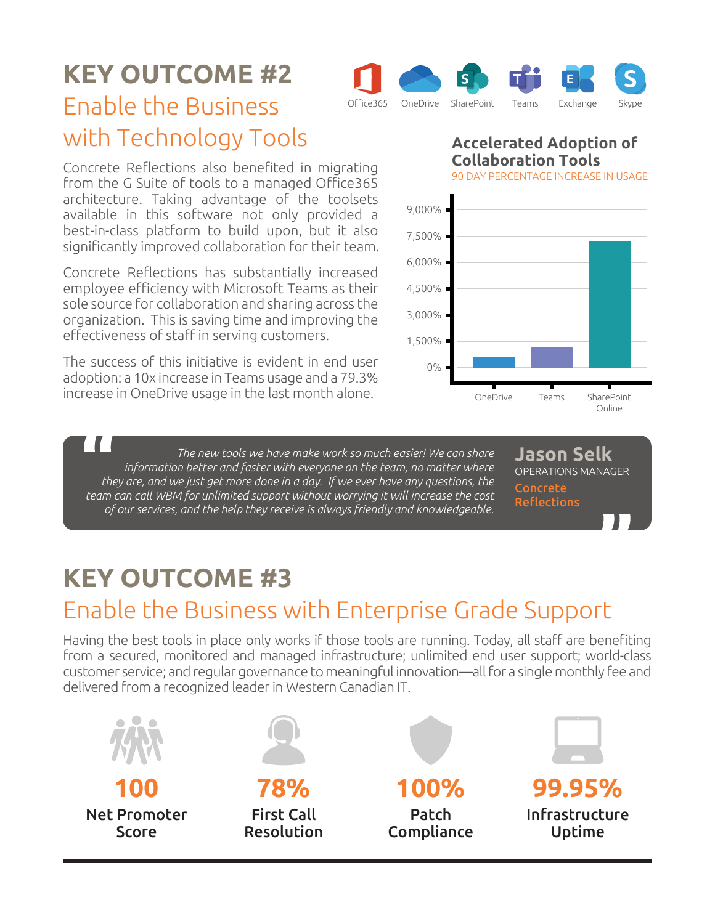## **KEY OUTCOME #2**



Concrete Reflections also benefited in migrating from the G Suite of tools to a managed Office365 architecture. Taking advantage of the toolsets available in this software not only provided a best-in-class platform to build upon, but it also significantly improved collaboration for their team.

Concrete Reflections has substantially increased employee efficiency with Microsoft Teams as their sole source for collaboration and sharing across the organization. This is saving time and improving the effectiveness of staff in serving customers.

The success of this initiative is evident in end user adoption: a 10x increase in Teams usage and a 79.3% increase in OneDrive usage in the last month alone.

**Accelerated Adoption of Collaboration Tools** 90 DAY PERCENTAGE INCREASE IN USAGE



*The new tools we have make work so much easier! We can share information better and faster with everyone on the team, no matter where they are, and we just get more done in a day. If we ever have any questions, the team can call WBM for unlimited support without worrying it will increase the cost of our services, and the help they receive is always friendly and knowledgeable.*

**Jason Selk** OPERATIONS MANAGER Concrete Reflections

## **KEY OUTCOME #3**

## Enable the Business with Enterprise Grade Support

Having the best tools in place only works if those tools are running. Today, all staff are benefiting from a secured, monitored and managed infrastructure; unlimited end user support; world-class customer service; and regular governance to meaningful innovation—all for a single monthly fee and delivered from a recognized leader in Western Canadian IT.